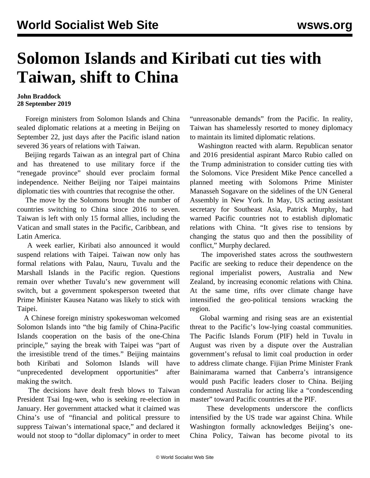## **Solomon Islands and Kiribati cut ties with Taiwan, shift to China**

## **John Braddock 28 September 2019**

 Foreign ministers from Solomon Islands and China sealed diplomatic relations at a meeting in Beijing on September 22, just days after the Pacific island nation severed 36 years of relations with Taiwan.

 Beijing regards Taiwan as an integral part of China and has threatened to use military force if the "renegade province" should ever proclaim formal independence. Neither Beijing nor Taipei maintains diplomatic ties with countries that recognise the other.

 The move by the Solomons brought the number of countries switching to China since 2016 to seven. Taiwan is left with only 15 formal allies, including the Vatican and small states in the Pacific, Caribbean, and Latin America.

 A week earlier, Kiribati also announced it would suspend relations with Taipei. Taiwan now only has formal relations with Palau, Nauru, Tuvalu and the Marshall Islands in the Pacific region. Questions remain over whether Tuvalu's new government will switch, but a government spokesperson tweeted that Prime Minister Kausea Natano was likely to stick with Taipei.

 A Chinese foreign ministry spokeswoman welcomed Solomon Islands into "the big family of China-Pacific Islands cooperation on the basis of the one-China principle," saying the break with Taipei was "part of the irresistible trend of the times." Beijing maintains both Kiribati and Solomon Islands will have "unprecedented development opportunities" after making the switch.

 The decisions have dealt fresh blows to Taiwan President Tsai Ing-wen, who is seeking re-election in January. Her government attacked what it claimed was China's use of "financial and political pressure to suppress Taiwan's international space," and declared it would not stoop to "dollar diplomacy" in order to meet "unreasonable demands" from the Pacific. In reality, Taiwan has shamelessly resorted to money diplomacy to maintain its limited diplomatic relations.

 Washington reacted with alarm. Republican senator and 2016 presidential aspirant Marco Rubio called on the Trump administration to consider cutting ties with the Solomons. Vice President Mike Pence cancelled a planned meeting with Solomons Prime Minister Manasseh Sogavare on the sidelines of the UN General Assembly in New York. In May, US acting assistant secretary for Southeast Asia, Patrick Murphy, had warned Pacific countries not to establish diplomatic relations with China. "It gives rise to tensions by changing the status quo and then the possibility of conflict," Murphy declared.

 The impoverished states across the southwestern Pacific are seeking to reduce their dependence on the regional imperialist powers, Australia and New Zealand, by increasing economic relations with China. At the same time, rifts over climate change have intensified the geo-political tensions wracking the region.

 Global warming and rising seas are an existential threat to the Pacific's low-lying coastal communities. The [Pacific Islands Forum](/en/articles/2019/08/24/paci-a24.html) (PIF) held in Tuvalu in August was riven by a dispute over the Australian government's refusal to limit coal production in order to address climate change. Fijian Prime Minister Frank Bainimarama warned that Canberra's intransigence would push Pacific leaders closer to China. Beijing condemned Australia for acting like a "condescending master" toward Pacific countries at the PIF.

 These developments underscore the conflicts intensified by the US trade war against China. While Washington formally acknowledges Beijing's one-China Policy, Taiwan has become pivotal to its